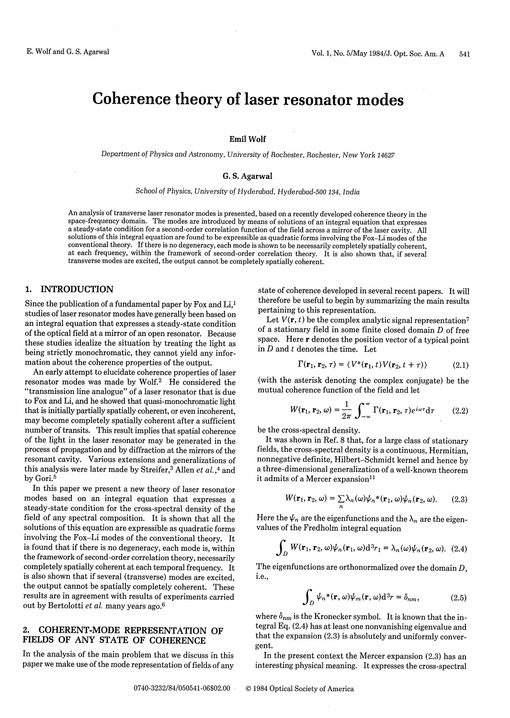# Coherence theory of laser resonator modes

Emil Wolf

*Department of Physics and Astronomy, University of Rochester, Rochester, New York 14627*

#### G. S. Agarwal

*School of Physics, University of Hyderabad, Hyderabad-500 134, India*

An analysis of transverse laser resonator modes is presented, based on a recently developed coherence theory in the space-frequency domain. The modes are introduced by means of solutions of an integral equation that expresses<br>a steady-state condition for a second-order correlation function of the field across a mirror of the laser cavit solutions of this integral equation are found to be expressible as quadratic forms involving the Fox-Li modes of the conventional theory. If there is no degeneracy, each mode is shown to be necessarily completely spatially coherent, at each frequency, within the framework of second-order correlation theory. It is also shown that, if several transverse modes are excited, the output cannot be completely spatially coherent.

# 1. INTRODUCTION

Since the publication of a fundamental paper by  $F(x)$  and  $Li<sup>1</sup>$ studies of laser resonator modes have generally been based on an integral equation that expresses a steady-state condition of the optical field at a mirror of an open resonator. Because these studies idealize the situation by treating the light as being strictly monochromatic, they cannot yield any information about the coherence properties of the output.

An early attempt to elucidate coherence properties of laser resonator modes was made by Wolf.<sup>2</sup> He considered the "transmission line analogue" of a laser resonator that is due to Fox and Li, and he showed that quasi-monochromatic light that is initially partially spatially coherent, or even incoherent, may become completely spatially coherent after a sufficient number of transits. This result implies that spatial coherence of the light in the laser resonator may be generated in the process of propagation and by diffraction at the mirrors of the resonant cavity. Various extensions and generalizations of this analysis were later made by Streifer,<sup>3</sup> Allen *et al.*,<sup>4</sup> and by Gori.<sup>5</sup>

In this paper we present a new theory of laser resonator modes based on an integral equation that expresses a steady-state condition for the cross-spectral density of the field of any spectral composition. It is shown that all the solutions of this equation are expressible as quadratic forms involving the Fox-Li modes of the conventional theory. It is found that if there is no degeneracy, each mode is, within the framework of second-order correlation theory, necessarily completely spatially coherent at each temporal frequency. It is also shown that if several (transverse) modes are excited, the output cannot be spatially completely coherent. These results are in agreement with results of experiments carried out by Bertolotti *et al.* many years ago.6

# 2. COHERENT-MODE REPRESENTATION OF FIELDS OF ANY STATE OF COHERENCE

In the analysis of the main problem that we discuss in this paper we make use of the mode representation of fields of any state of coherence developed in several recent papers. It will therefore be useful to begin by summarizing the main results pertaining to this representation.

Let  $V(\mathbf{r}, t)$  be the complex analytic signal representation<sup>7</sup> of a stationary field in some finite closed domain  $D$  of free space. Here r denotes the position vector of a typical point in *D* and t denotes the time. Let

$$
\Gamma(\mathbf{r}_1, \mathbf{r}_2, \tau) = \langle V^*(\mathbf{r}_1, t) V(\mathbf{r}_2, t + \tau) \rangle \tag{2.1}
$$

(with the asterisk denoting the complex conjugate) be the mutual coherence function of the field and let

$$
W(\mathbf{r}_1, \mathbf{r}_2, \omega) = \frac{1}{2\pi} \int_{-\infty}^{\infty} \Gamma(\mathbf{r}_1, \mathbf{r}_2, \tau) e^{i\omega \tau} d\tau
$$
 (2.2)

be the cross-spectral density.

It was shown in Ref. 8 that, for a large class of stationary fields, the cross-spectral density is a continuous, Hermitian, nonnegative definite, Hilbert-Schmidt kernel and hence by a three-dimensional generalization of a well-known theorem it admits of a Mercer expansion $11$ 

$$
W(\mathbf{r}_1, \mathbf{r}_2, \omega) = \sum_{n} \lambda_n(\omega) \psi_n * (\mathbf{r}_1, \omega) \psi_n(\mathbf{r}_2, \omega).
$$
 (2.3)

Here the  $\psi_n$  are the eigenfunctions and the  $\lambda_n$  are the eigenvalues of the Fredholm integral equation

$$
\int_D W(\mathbf{r}_1, \mathbf{r}_2, \omega) \psi_n(\mathbf{r}_1, \omega) d^3 r_1 = \lambda_n(\omega) \psi_n(\mathbf{r}_2, \omega).
$$
 (2.4)

The eigenfunctions are orthonormalized over the domain *D,* i.e.,

$$
\int_{D} \psi_n^*(\mathbf{r}, \omega) \psi_m(\mathbf{r}, \omega) d^3 r = \delta_{nm}, \qquad (2.5)
$$

where  $\delta_{\rm nm}$  is the Kronecker symbol.  $\:$  It is known that the integral Eq. (2.4) has at least one nonvanishing eigenvalue and that the expansion (2.3) is absolutely and uniformly convergent.

In the present context the Mercer expansion (2.3) has an interesting physical meaning. It expresses the cross-spectral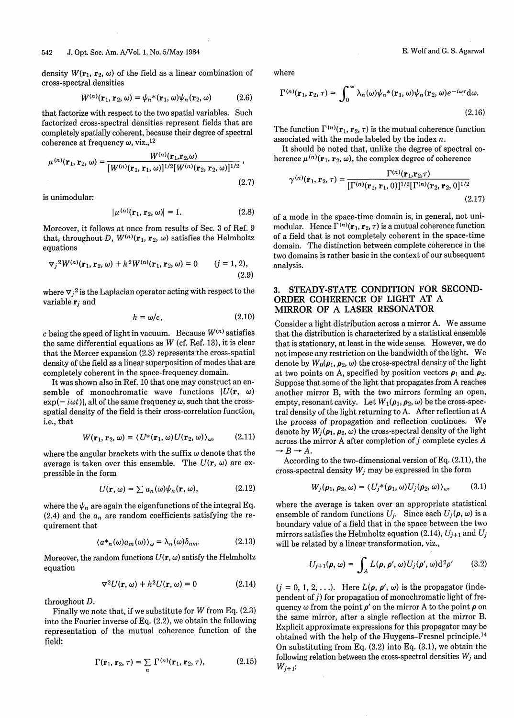542 J. Opt. Soc. Am. A/Vol. 1, No. 5/May 1984

density  $W(\mathbf{r}_1, \mathbf{r}_2, \omega)$  of the field as a linear combination of cross-spectral densities

$$
W^{(n)}(\mathbf{r}_1, \mathbf{r}_2, \omega) = \psi_n * (\mathbf{r}_1, \omega) \psi_n(\mathbf{r}_2, \omega) \tag{2.6}
$$

that factorize with respect to the two spatial variables. Such factorized cross-spectral densities represent fields that are completely spatially coherent, because their degree of spectral coherence at frequency  $\omega$ , viz.,<sup>12</sup>

$$
\mu^{(n)}(\mathbf{r}_1, \mathbf{r}_2, \omega) = \frac{W^{(n)}(\mathbf{r}_1, \mathbf{r}_2, \omega)}{[W^{(n)}(\mathbf{r}_1, \mathbf{r}_1, \omega)]^{1/2}[W^{(n)}(\mathbf{r}_2, \mathbf{r}_2, \omega)]^{1/2}},
$$
\n(2.7)

is unimodular:

$$
|\mu^{(n)}(\mathbf{r}_1, \mathbf{r}_2, \omega)| = 1. \tag{2.8}
$$

Moreover, it follows at once from results of Sec. 3 of Ref. 9 that, throughout D,  $W^{(n)}(\mathbf{r}_1, \mathbf{r}_2, \omega)$  satisfies the Helmholtz equations

$$
\nabla_j^2 W^{(n)}(\mathbf{r}_1, \mathbf{r}_2, \omega) + k^2 W^{(n)}(\mathbf{r}_1, \mathbf{r}_2, \omega) = 0 \qquad (j = 1, 2),
$$
\n(2.9)

where  $\nabla_i^2$  is the Laplacian operator acting with respect to the variable  $\mathbf{r}_i$  and

$$
k = \omega/c, \tag{2.10}
$$

c being the speed of light in vacuum. Because  $W^{(n)}$  satisfies the same differential equations as *W* (cf. Ref. 13), it is clear that the Mercer expansion (2.3) represents the cross-spatial density of the field as a linear superposition of modes that are completely coherent in the space-frequency domain.

It was shown also in Ref. 10 that one may construct an ensemble of monochromatic wave functions  $\{U(\mathbf{r}, \omega)\}$  $exp(- i \omega t)$ , all of the same frequency  $\omega$ , such that the crossspatial density of the field is their cross-correlation function, i.e., that

$$
W(\mathbf{r}_1, \mathbf{r}_2, \omega) = \langle U^*(\mathbf{r}_1, \omega) U(\mathbf{r}_2, \omega) \rangle_{\omega}, \qquad (2.11)
$$

where the angular brackets with the suffix  $\omega$  denote that the average is taken over this ensemble. The  $U(\mathbf{r}, \omega)$  are expressible in the form

$$
U(\mathbf{r}, \omega) = \sum a_n(\omega) \psi_n(\mathbf{r}, \omega), \qquad (2.12)
$$

where the  $\psi_n$  are again the eigenfunctions of the integral Eq. (2.4) and the  $a_n$  are random coefficients satisfying the requirement that

$$
\langle a^*_{n}(\omega)a_{m}(\omega)\rangle_{\omega} = \lambda_{n}(\omega)\delta_{nm}.\tag{2.13}
$$

Moreover, the random functions  $U(\mathbf{r}, \omega)$  satisfy the Helmholtz equation

$$
\nabla^2 U(\mathbf{r}, \omega) + k^2 U(\mathbf{r}, \omega) = 0 \tag{2.14}
$$

throughout *D.*

Finally we note that, if we substitute for *W* from Eq. (2.3) into the Fourier inverse of Eq. (2.2), we obtain the following representation of the mutual coherence function of the field:

$$
\Gamma(\mathbf{r}_1, \mathbf{r}_2, \tau) = \sum_{n} \Gamma^{(n)}(\mathbf{r}_1, \mathbf{r}_2, \tau), \tag{2.15}
$$

where

$$
\Gamma^{(n)}(\mathbf{r}_1, \mathbf{r}_2, \tau) = \int_0^\infty \lambda_n(\omega) \psi_n * (\mathbf{r}_1, \omega) \psi_n(\mathbf{r}_2, \omega) e^{-i\omega \tau} d\omega.
$$
\n(2.16)

The function  $\Gamma^{(n)}(\mathbf{r}_1, \mathbf{r}_2, \tau)$  is the mutual coherence function associated with the mode labeled by the index  $n$ .

It should be noted that, unlike the degree of spectral coherence  $\mu^{(n)}(\mathbf{r}_1, \mathbf{r}_2, \omega)$ , the complex degree of coherence

$$
\gamma^{(n)}(\mathbf{r}_1, \mathbf{r}_2, \tau) = \frac{\Gamma^{(n)}(\mathbf{r}_1, \mathbf{r}_2, \tau)}{\left[\Gamma^{(n)}(\mathbf{r}_1, \mathbf{r}_1, 0)\right]^{1/2} \left[\Gamma^{(n)}(\mathbf{r}_2, \mathbf{r}_2, 0)\right]^{1/2}}
$$
(2.17)

of a mode in the space-time domain is, in general, not unimodular. Hence  $\Gamma^{(n)}(\mathbf{r}_1, \mathbf{r}_2, \tau)$  is a mutual coherence function of a field that is not completely coherent in the space-time domain. The distinction between complete coherence in the two domains is rather basic in the context of our subsequent analysis.

# 3. STEADY-STATE CONDITION **FOR SECOND-ORDER COHERENCE OF LIGHT AT A MIRROR OF A LASER RESONATOR**

Consider a light distribution across a mirror A. We assume that the distribution is characterized by a statistical ensemble that is stationary, at least in the wide sense. However, we do not impose any restriction on the bandwidth of the light. We denote by  $W_0(\rho_1, \rho_2, \omega)$  the cross-spectral density of the light at two points on A, specified by position vectors  $\rho_1$  and  $\rho_2$ . Suppose that some of the light that propagates from A reaches another mirror B, with the two mirrors forming an open, empty, resonant cavity. Let  $W_1(\rho_1, \rho_2, \omega)$  be the cross-spectral density of the light returning to A. After reflection at A the process of propagation and reflection continues. We denote by  $W_i(\rho_1, \rho_2, \omega)$  the cross-spectral density of the light across the mirror A after completion of  $j$  complete cycles  $A$  $\rightarrow$  *B*  $\rightarrow$  *A*.

According to the two-dimensional version of Eq. (2.11), the cross-spectral density  $W_i$  may be expressed in the form

$$
W_j(\boldsymbol{\rho}_1, \boldsymbol{\rho}_2, \omega) = \langle U_j^*(\boldsymbol{\rho}_1, \omega) U_j(\boldsymbol{\rho}_2, \omega) \rangle_{\omega}, \qquad (3.1)
$$

where the average is taken over an appropriate statistical ensemble of random functions  $U_j$ . Since each  $U_j(\rho, \omega)$  is a boundary value of a field that in the space between the two mirrors satisfies the Helmholtz equation (2.14),  $U_{i+1}$  and  $U_i$ will be related by a linear transformation, viz.,

$$
U_{j+1}(\rho,\omega) = \int_A L(\rho,\rho',\omega) U_j(\rho',\omega) d^2 \rho' \qquad (3.2)
$$

 $(j = 0, 1, 2, \ldots)$ . Here  $L(\rho, \rho', \omega)$  is the propagator (independent of  $j$ ) for propagation of monochromatic light of frequency  $\omega$  from the point  $\rho'$  on the mirror A to the point  $\rho$  on the same mirror, after a single reflection at the mirror B. Explicit approximate expressions for this propagator may be obtained with the help of the Huygens-Fresnel principle.'<sup>4</sup> On substituting from Eq. (3.2) into Eq. (3.1), we obtain the following relation between the cross-spectral densities  $W_j$  and  $W_{j+1}$ :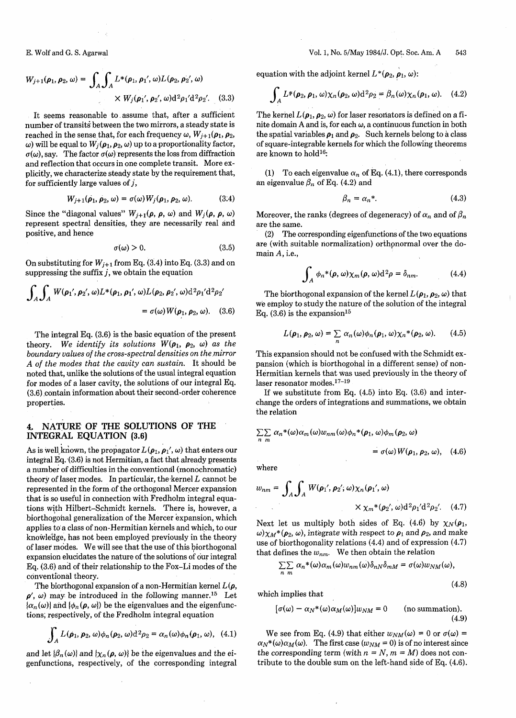E. Wolf and G. S. Agarwal

$$
W_{j+1}(\rho_1, \rho_2, \omega) = \int_A \int_A L^*(\rho_1, \rho_1', \omega) L(\rho_2, \rho_2', \omega)
$$
  
 
$$
\times W_j(\rho_1', \rho_2', \omega) d^2 \rho_1' d^2 \rho_2'.
$$
 (3.3)

It seems reasonable to assume that, after a sufficient number of transits between the two mirrors, a steady state is reached in the sense that, for each frequency  $\omega$ ,  $W_{i+1}(\rho_1, \rho_2)$ , *ω*) will be equal to  $W<sub>j</sub>(ρ<sub>1</sub>, ρ<sub>2</sub>, ω)$  up to a proportionality factor,  $\sigma(\omega)$ , say. The factor  $\sigma(\omega)$  represents the loss from diffraction and reflection that occurs in one complete transit. More explicitly, we characterize steady state by the requirement that, for sufficiently large values of *j,*

$$
W_{j+1}(\rho_1, \rho_2, \omega) = \sigma(\omega) W_j(\rho_1, \rho_2, \omega).
$$
 (3.4)

Since the "diagonal values"  $W_{j+1}(\rho, \rho, \omega)$  and  $W_j(\rho, \rho, \omega)$ represent spectral densities, they are necessarily real and positive, and hence

$$
\sigma(\omega) > 0. \tag{3.5}
$$

On substituting for  $W_{i+1}$  from Eq. (3.4) into Eq. (3.3) and on suppressing the suffix  $j$ , we obtain the equation

$$
\int_A \int_A W(\rho_1', \rho_2', \omega) L^*(\rho_1, \rho_1', \omega) L(\rho_2, \rho_2', \omega) d^2 \rho_1' d^2 \rho_2'
$$
  
=  $\sigma(\omega) W(\rho_1, \rho_2, \omega)$ . (3.6)

The integral Eq. (3.6) is the basic equation of the present theory. We identify its solutions  $W(\rho_1, \rho_2, \omega)$  as the *boundary values of the cross-spectral densities on the mirror A of the modes that the cavity can sustain.* It should be noted that, unlike the solutions of the usual integral equation for modes of a laser cavity, the solutions of our integral Eq. (3.6) contain information about their second-ordet coherence properties.

#### 4. NATURE OF THE SOLUTIONS OF THE INTEGRAL EQUATION (3.6)

As is well known, the propagator  $L(\rho_1, \rho_1', \omega)$  that enters our integral Eq. (3.6) is not Hermitian, a fact that already presents a number of difficulties in the conventional (monochromatic) theory of laser modes. In particular, the kernel  $L$  cannot be represented in the form-of the orthogonal Mercer expansion that is so useful in connection with Fredholm integral equations with Hilbert-Schmidt kernels. There is, however, a biorthogohal generalization of the Mercer expansion, which applies to a class of non-Hermitian kernels and which, to our knowledge, has not been employed previously in the theory of laser modes. We will see that the use of this biorthogonal expansion elucidates the nature of the solutions of our integral Eq. (3.6) and of their relationship to the Fox-Li modes of the conventional theory.

The biorthogonal expansion of a non-Hermitian kernel *L(p,*  $p'$ ,  $\omega$ ) may be introduced in the following manner.<sup>15</sup> Let  $\{\alpha_n(\omega)\}\$  and  $\{\phi_n(\rho, \omega)\}$  be the eigenvalues and the eigenfunctions; respectively, of the Fredholm integral equation

$$
\int_{A} L(\rho_1, \rho_2, \omega) \phi_n(\rho_2, \omega) d^2 \rho_2 = \alpha_n(\omega) \phi_n(\rho_1, \omega), \quad (4.1)
$$

and let  $\{\beta_n(\omega)\}\$  and  $\{\chi_n(\rho, \omega)\}\$  be the eigenvalues and the eigenfunctions, respectively, of the corresponding integral equation with the adjoint kernel  $L^*(\rho_2, \rho_1, \omega)$ :

$$
\int_A L^*(\rho_2, \rho_1, \omega) \chi_n(\rho_2, \omega) d^2 \rho_2 = \beta_n(\omega) \chi_n(\rho_1, \omega).
$$
 (4.2)

The kernel  $L(\boldsymbol{\rho}_1, \boldsymbol{\rho}_2, \omega)$  for laser resonators is defined on a finite domain A and is, for each  $\omega$ , a continuous function in both the spatial variables  $\rho_1$  and  $\rho_2$ . Such kernels belong to a class of square-integrable kernels for which the following theorems are known to hold<sup>16</sup>:

(1) To each eigenvalue  $\alpha_n$  of Eq. (4.1), there corresponds an eigenvalue  $\beta_n$  of Eq. (4.2) and

$$
\beta_n = \alpha_n^*.\tag{4.3}
$$

Moreover, the ranks (degrees of degeneracy) of  $\alpha_n$  and of  $\beta_n$ are the same.

(2) The corresponding eigenfunctions of the two equations are (with suitable normalization) orthonormal over the domain A, i.e.,

$$
\int_{A} \phi_n^{*}(\rho, \omega) \chi_m(\rho, \omega) d^2 \rho = \delta_{nm}.
$$
 (4.4)

The biorthogonal expansion of the kernel  $L(\rho_1, \rho_2, \omega)$  that we employ to study the nature of the solution of the integral Eq.  $(3.6)$  is the expansion<sup>15</sup>

$$
L(\boldsymbol{\rho}_1, \boldsymbol{\rho}_2, \omega) = \sum_n \alpha_n(\omega) \phi_n(\boldsymbol{\rho}_1, \omega) \chi_n^*(\boldsymbol{\rho}_2, \omega).
$$
 (4.5)

This expansion should not be confused with the Schmidt expansion (which is biorthogohal in a different sense) of non-Hermitian kernels that was used previously in the theory of laser resonator modes.<sup>17-19</sup>

If we substitute from Eq. (4.5) into Eq. (3.6) and interchange the orders of integrations and summations, we obtain the relation

$$
\sum_{n} \sum_{m} \alpha_{n}^{*}(\omega) \alpha_{m}(\omega) w_{nm}(\omega) \phi_{n}^{*}(\rho_{1}, \omega) \phi_{m}(\rho_{2}, \omega)
$$
  
=  $\sigma(\omega) W(\rho_{1}, \rho_{2}, \omega),$  (4.6)

where

$$
w_{nm} = \int_A \int_A W(\rho_1', \rho_2', \omega) \chi_n(\rho_1', \omega)
$$
  
 
$$
\times \chi_m^*(\rho_2', \omega) d^2 \rho_1' d^2 \rho_2'.
$$
 (4.7)

Next let us multiply both sides of Eq.  $(4.6)$  by  $\chi_N(\rho_1)$ ,  $\omega$ ) $\chi_M^*(\rho_2, \omega)$ , integrate with respect to  $\rho_1$  and  $\rho_2$ , and make use of biorthogonality relations (4.4) and of expression (4.7) that defines the  $w_{nm}$ . We then obtain the relation

$$
\sum_{n} \sum_{m} \alpha_{n} * (\omega) \alpha_{m}(\omega) w_{nm}(\omega) \delta_{nN} \delta_{mM} = \sigma(\omega) w_{NM}(\omega),
$$

(4.8)

which implies that

$$
[\sigma(\omega) - \alpha_N * (\omega) \alpha_M(\omega)] w_{NM} = 0 \qquad \text{(no summation)}.
$$
\n(4.9)

We see from Eq. (4.9) that either  $w_{NM}(\omega) = 0$  or  $\sigma(\omega) =$  $\alpha_N^*(\omega)\alpha_M(\omega)$ . The first case  $(w_{NM} = 0)$  is of no interest since the corresponding term (with  $n = N$ ,  $m = M$ ) does not contribute to the double sum on the left-hand side of Eq. (4.6).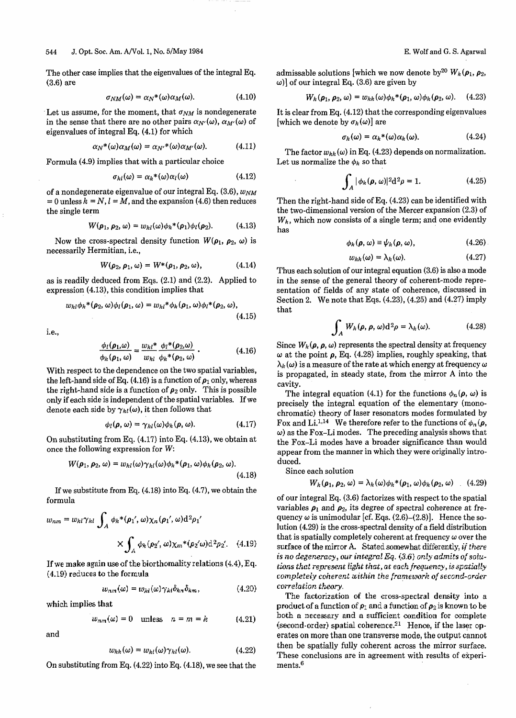The other case implies that the eigenvalues of the integral Eq. (3.6) are

$$
\sigma_{NM}(\omega) = \alpha_N^*(\omega)\alpha_M(\omega). \tag{4.10}
$$

Let us assume, for the moment, that  $\sigma_{NM}$  is nondegenerate in the sense that there are no other pairs  $\alpha_{N'}(\omega)$ ,  $\alpha_{M'}(\omega)$  of eigenvalues of integral Eq. (4.1) for which

$$
\alpha_N^{\ast}(\omega)\alpha_M(\omega) = \alpha_{N'}^{\ast}(\omega)\alpha_{M'}(\omega). \qquad (4.11)
$$

Formula (4.9) implies that with a particular choice

$$
\sigma_{kl}(\omega) = \alpha_k^*(\omega)\alpha_l(\omega) \qquad (4.12)
$$

of a nondegenerate eigenvalue of our integral Eq.  $(3.6)$ ,  $w_{NM}$  $= 0$  unless  $k = N, l = M$ , and the expansion (4.6) then reduces the single term

$$
W(\boldsymbol{\rho}_1, \boldsymbol{\rho}_2, \omega) = w_{kl}(\omega) \phi_k^*(\boldsymbol{\rho}_1) \phi_l(\boldsymbol{\rho}_2). \hspace{1cm} (4.13)
$$

Now the cross-spectral density function  $W(\rho_1, \rho_2, \omega)$  is necessarily Hermitian, i.e.,

$$
W(\rho_2, \rho_1, \omega) = W^*(\rho_1, \rho_2, \omega), \qquad (4.14)
$$

as is readily deduced from Eqs. (2.1) and (2.2). Applied to expression (4.13), this condition implies that

$$
w_{kl}\phi_k^*(\rho_2,\omega)\phi_l(\rho_1,\omega)=w_{kl}^*\phi_k(\rho_1,\omega)\phi_l^*(\rho_2,\omega),
$$
\n(4.15)

i.e.,

$$
\frac{\phi_l(\rho_1,\omega)}{\phi_k(\rho_1,\omega)} = \frac{w_{kl}^*}{w_{kl}} \frac{\phi_l^*(\rho_2,\omega)}{\phi_k^*(\rho_2,\omega)}.
$$
(4.16)

With respect to the dependence on the two spatial variables, the left-hand side of Eq.  $(4.16)$  is a function of  $\rho_1$  only, whereas the right-hand side is a function of  $\rho_2$  only. This is possible only if each side is independent of the spatial variables. If we denote each side by  $\gamma_{kl}(\omega)$ , it then follows that

$$
\phi_l(\rho,\omega)=\gamma_{kl}(\omega)\phi_k(\rho,\omega). \hspace{1cm} (4.17)
$$

On substituting from Eq. (4.17) into Eq. (4.13), we obtain at once the following expression for W:

$$
W(\boldsymbol{\rho}_1, \boldsymbol{\rho}_2, \omega) = w_{kl}(\omega) \gamma_{kl}(\omega) \phi_k * (\boldsymbol{\rho}_1, \omega) \phi_k(\boldsymbol{\rho}_2, \omega).
$$
\n(4.18)

If we substitute from Eq. (4.18) into Eq. (4.7), we obtain the formula

$$
w_{nm} = w_{kl} \gamma_{kl} \int_A \phi_k^*(\rho_1', \omega) \chi_n(\rho_1', \omega) d^2 \rho_1'
$$

$$
\times \int_A \phi_k(\rho_2', \omega) \chi_m^*(\rho_2' \omega) d^2 \rho_2'.
$$
 (4.19)

If we make again use of the biorthomality relations (4.4), Eq. (4.19) reduces to the formula

$$
w_{nm}(\omega) = w_{kl}(\omega)\gamma_{kl}\delta_{kn}\delta_{km}, \qquad (4.20)
$$

which implies that

$$
w_{nm}(\omega) = 0 \quad \text{unless} \quad n = m = k \tag{4.21}
$$

and

$$
w_{kk}(\omega) = w_{kl}(\omega)\gamma_{kl}(\omega). \qquad (4.22)
$$

On substituting from Eq. (4.22) into Eq. (4.18), we see that the

admissable solutions which we now denote by<sup>20</sup>  $W_k(\rho_1, \rho_2)$ ,  $\omega$ l of our integral Eq. (3.6) are given by

$$
W_k(\rho_1, \rho_2, \omega) = w_{kk}(\omega) \phi_k^*(\rho_1, \omega) \phi_k(\rho_2, \omega). \quad (4.23)
$$

It is clear from Eq. (4.12) that the corresponding eigenvalues [which we denote by  $\sigma_k(\omega)$ ] are

$$
\sigma_h(\omega) = \alpha_h * (\omega) \alpha_h(\omega). \tag{4.24}
$$

The factor  $w_{kk}(\omega)$  in Eq. (4.23) depends on normalization. Let us normalize the  $\phi_k$  so that

$$
\int_{A} |\phi_k(\rho, \omega)|^2 d^2 \rho = 1. \tag{4.25}
$$

Then the right-hand side of Eq. (4.23) can be identified with the two-dimensional version of the Mercer expansion (2.3) of *Wk,* which now consists of a single term; and one evidently has

$$
\phi_k(\rho,\omega) \equiv \psi_k(\rho,\omega), \qquad (4.26)
$$

$$
w_{kk}(\omega) = \lambda_k(\omega). \tag{4.27}
$$

Thus each solution of our integral equation (3.6) is also a mode in the sense of the general theory of coherent-mode representation of fields of any state of coherence, discussed in Section 2. We note that Eqs. (4.23), (4.25) and (4.27) imply that

$$
\int_{A} W_{k}(\rho, \rho, \omega) d^{2} \rho = \lambda_{k}(\omega).
$$
 (4.28)

Since  $W_k(\rho, \rho, \omega)$  represents the spectral density at frequency  $\omega$  at the point  $\rho$ , Eq. (4.28) implies, roughly speaking, that  $\lambda_k(\omega)$  is a measure of the rate at which energy at frequency  $\omega$ is propagated, in steady state, from the mirror A into the cavity.

The integral equation (4.1) for the functions  $\phi_n(\rho, \omega)$  is precisely the integral equation of the elementary (monochromatic) theory of laser resonators modes formulated by Fox and Li.<sup>1,14</sup> We therefore refer to the functions of  $\phi_n(\rho, \theta)$ *w)* as the Fox-Li modes. The preceding analysis shows that the Fox-Li modes have a broader significance than would appear from the manner in which they were originally introduced.

Since each solution

$$
W_k(\boldsymbol{\rho}_1, \boldsymbol{\rho}_2, \omega) = \lambda_k(\omega) \phi_k * (\boldsymbol{\rho}_1, \omega) \phi_k(\boldsymbol{\rho}_2, \omega) \qquad (4.29)
$$

of our integral Eq. (3.6) factorizes with respect to the spatial variables  $\rho_1$  and  $\rho_2$ , its degree of spectral coherence at frequency  $\omega$  is unimodular [cf. Eqs.  $(2.6)$ – $(2.8)$ ]. Hence the solution (4.29) is the cross-spectral density of a field distribution that is spatially completely coherent at frequency  $\omega$  over the surface of the mirror A. Stated somewhat differently, if *there is no degeneracy, our integral Eq. (3.6) only admits of solutions that represent light that, at each frequency, is spatially completely coherent within the framework of second-order correlation theor.*

The factorization of the cross-spectral density into a product of a function of  $p_1$  and a function of  $p_2$  is known to be both a necessary and a sufficient condition for complete (second-order) spatial coherence.<sup>21</sup> Hence, if the laser operates on more than one transverse mode, the output cannot then be spatially fully coherent across the mirror surface. These conclusions are in agreement with results of experi- $\rm{ments.}^6$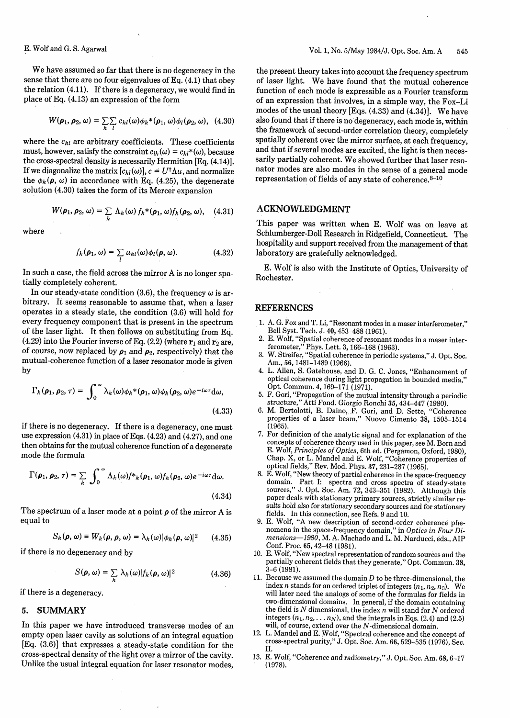We have assumed so far that there is no degeneracy in the sense that there are no four eigenvalues of Eq. (4.1) that obey the relation (4.11). If there is a degeneracy, we would find in place of Eq. (4.13) an expression of the form

$$
W(\boldsymbol{\rho}_1, \boldsymbol{\rho}_2, \omega) = \sum_{k} \sum_{l} c_{kl}(\omega) \phi_k * (\boldsymbol{\rho}_1, \omega) \phi_l(\boldsymbol{\rho}_2, \omega), \quad (4.30)
$$

where the  $c_{kl}$  are arbitrary coefficients. These coefficients must, however, satisfy the constraint  $c_{lk}(\omega) = c_{kl} * (\omega)$ , because the cross-spectral density is necessarily Hermitian [Eq. (4.14)]. If we diagonalize the matrix  $[c_{kl}(\omega)]$ ,  $c = U^{\dagger} \Lambda u$ , and normalize the  $\phi_k(\rho, \omega)$  in accordance with Eq. (4.25), the degenerate solution (4.30) takes the form of its Mercer expansion

$$
W(\boldsymbol{\rho}_1, \boldsymbol{\rho}_2, \omega) = \sum_k \Lambda_k(\omega) f_k^*(\boldsymbol{\rho}_1, \omega) f_k(\boldsymbol{\rho}_2, \omega), \quad (4.31)
$$

where

$$
f_k(\boldsymbol{\rho}_1, \omega) = \sum_i u_{kl}(\omega) \phi_l(\boldsymbol{\rho}, \omega).
$$
 (4.32)

In such a case, the field across the mirror A is no longer spatially completely coherent.

In our steady-state condition (3.6), the frequency  $\omega$  is arbitrary. It seems reasonable to assume that, when a laser operates in a steady state, the condition (3.6) will hold for every frequency component that is present in the spectrum of the laser light. It then follows on substituting from Eq. (4.29) into the Fourier inverse of Eq.  $(2.2)$  (where  $\mathbf{r}_1$  and  $\mathbf{r}_2$  are, of course, now replaced by  $\rho_1$  and  $\rho_2$ , respectively) that the mutual-coherence function of a laser resonator mode is given by

$$
\Gamma_k(\rho_1, \rho_2, \tau) = \int_0^\infty \lambda_k(\omega) \phi_k * (\rho_1, \omega) \phi_k(\rho_2, \omega) e^{-i\omega \tau} d\omega,
$$
\n(4.33)

if there is no degeneracy. If there is a degeneracy, one must use expression (4.31) in place of Eqs. (4.23) and (4.27), and one then obtains for the mutual coherence function of a degenerate mode the formula

$$
\Gamma(\rho_1, \rho_2, \tau) = \sum_{k} \int_0^{\infty} \Lambda_k(\omega) f^*_{k}(\rho_1, \omega) f_k(\rho_2, \omega) e^{-i\omega \tau} d\omega.
$$
\n(4.34)

The spectrum of a laser mode at a point **p** of the mirror A is equal to

$$
S_k(\rho,\omega) \equiv W_k(\rho,\rho,\omega) = \lambda_k(\omega)|\phi_k(\rho,\omega)|^2 \qquad (4.35)
$$

if there is no degeneracy and by

$$
S(\rho, \omega) = \sum_{k} \lambda_k(\omega) |f_k(\rho, \omega)|^2 \qquad (4.36)
$$

if there is a degeneracy.

#### 5. **SUMMARY**

In this paper we have introduced transverse modes of an empty open laser cavity as solutions of an integral equation [Eq. (3.6)] that expresses a steady-state condition for the cross-spectral density of the light over a mirror of the cavity. Unlike the usual integral equation for laser resonator modes,

the present theory takes into account the frequency spectrum of laser light. We have found that the mutual coherence function of each mode is expressible as a Fourier transform of an expression that involves, in a simple way, the Fox-Li modes of the usual theory [Eqs. (4.33) and (4.34)]. We have also found that if there is no'degeneracy, each mode is, within the framework of second-order correlation theory, completely spatially coherent over the mirror surface, at each frequency, and that if several modes are excited, the light is then necessarily partially coherent. We showed further that laser resonator modes are also modes in the sense of a general mode representation of fields of any state of coherence. 8-10

# ACKNOWLEDGMENT

This paper was written when E. Wolf was on leave at Schlumberger-Doll Research in Ridgefield, Connecticut. The hospitality and support received from the management of that laboratory are gratefully acknowledged.

E. Wolf is also with the Institute of Optics, University of Rochester.

#### REFERENCES

- 1. A. G. Fox and T. Li, "Resonant modes in a maser interferometer," Bell Syst. Tech. J. 40, 453-488 (1961).
- 2. E. Wolf, "Spatial coherence of resonant modes in a maser interferometer," Phys. Lett. 3, 166-168 (1963).
- 3. W. Streifer, "Spatial coherence in periodic systems," J. Opt. Soc. Am., 56, 1481-1489 (1966).
- 4. L. Allen, S. Gatehouse, and D. G. C. Jones, "Enhancement of optical coherence during light propagation in bounded media," Opt. Commun. 4, 169-171 (1971).
- 5. F. Gori, "Propagation of the mutual intensity through a periodic structure," Atti Fond. Giorgio Ronchi 35, 434-447 (1980).
- 6. M. Bertolotti, B. Daino, F. Gori, and D. Sette, "Coherenc properties of a laser beam," Nuovo Cimento 38, 1505-1514 (1965).
- 7. For definition of the analytic signal and for explanation of the concepts of coherence theory used in this paper, see M. Born and E. Wolf, *Principles of Optics,* 6th ed. (Pergamon, Oxford, 1980), Chap. X, or L. Mandel and E. Wolf, "Coherence properties of optical fields," Rev. Mod. Phys. 37, 231-287 (1965).
- 8. E. Wolf, "New theory of partial coherence in the space-frequency domain. Part I: spectra and cross spectra of steady-state sources," J. Opt. Soc. Am. 72, 343-351 (1982). Although this paper deals with stationary primary sources, strictly similar results hold also for stationary secondary sources and for stationary
- fields. In this connection, see Refs. 9 and 10. nomena in the space-frequency domain," in *Optics in Four Dimensions-1980,* M. A. Machado and L. M. Narducci, eds., AIP Conf. Proc. 65, 42-48 (1981).
- 10. E. Wolf, "New spectral representation of random sources and the partially coherent fields that they generate," Opt. Commun. 38, 3-6 (1981).
- 11. Because we assumed the domain *D* to be three-dimensional, the index *n* stands for an ordered triplet of integers  $(n_1, n_2, n_3)$ . We will later need the analogs of some of the formulas for fields in two-dimensional domains. In general, if the domain containing the field is N dimensional, the index *n* will stand for N ordered integers  $(n_1, n_2, \ldots n_N)$ , and the integrals in Eqs. (2.4) and (2.5) will, of course, extend over the N-dimensional domain.
- 12. L. Mandel and E. Wolf, "Spectral coherence and the concept of cross-spectral purity," J. Opt. Soc. Am. 66, 529-535 (1976), Sec. II.
- 13. E. Wolf, "Coherence and radiometry," J. Opt. Soc. Am. 68, 6-17 (1978).